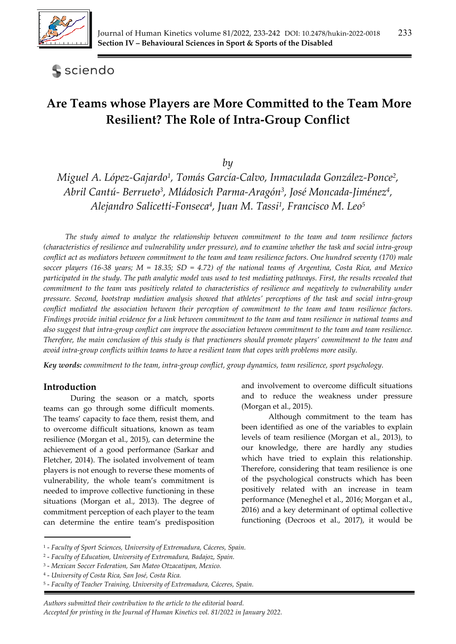

**S** sciendo

# **Are Teams whose Players are More Committed to the Team More Resilient? The Role of Intra-Group Conflict**

*by* 

*Miguel A. López-Gajardo1, Tomás García-Calvo, Inmaculada González-Ponce2, Abril Cantú- Berrueto3, Mládosich Parma-Aragón3, José Moncada-Jiménez4, Alejandro Salicetti-Fonseca4, Juan M. Tassi1, Francisco M. Leo5*

*The study aimed to analyze the relationship between commitment to the team and team resilience factors (characteristics of resilience and vulnerability under pressure), and to examine whether the task and social intra-group conflict act as mediators between commitment to the team and team resilience factors. One hundred seventy (170) male soccer players (16-38 years; M = 18.35; SD = 4.72) of the national teams of Argentina, Costa Rica, and Mexico participated in the study. The path analytic model was used to test mediating pathways. First, the results revealed that commitment to the team was positively related to characteristics of resilience and negatively to vulnerability under pressure. Second, bootstrap mediation analysis showed that athletes' perceptions of the task and social intra-group conflict mediated the association between their perception of commitment to the team and team resilience factors. Findings provide initial evidence for a link between commitment to the team and team resilience in national teams and also suggest that intra-group conflict can improve the association between commitment to the team and team resilience. Therefore, the main conclusion of this study is that practioners should promote players' commitment to the team and avoid intra-group conflicts within teams to have a resilient team that copes with problems more easily.* 

*Key words: commitment to the team, intra-group conflict, group dynamics, team resilience, sport psychology.*

#### **Introduction**

During the season or a match, sports teams can go through some difficult moments. The teams' capacity to face them, resist them, and to overcome difficult situations, known as team resilience (Morgan et al., 2015), can determine the achievement of a good performance (Sarkar and Fletcher, 2014). The isolated involvement of team players is not enough to reverse these moments of vulnerability, the whole team's commitment is needed to improve collective functioning in these situations (Morgan et al., 2013). The degree of commitment perception of each player to the team can determine the entire team's predisposition

and involvement to overcome difficult situations and to reduce the weakness under pressure (Morgan et al., 2015).

Although commitment to the team has been identified as one of the variables to explain levels of team resilience (Morgan et al., 2013), to our knowledge, there are hardly any studies which have tried to explain this relationship. Therefore, considering that team resilience is one of the psychological constructs which has been positively related with an increase in team performance (Meneghel et al., 2016; Morgan et al., 2016) and a key determinant of optimal collective functioning (Decroos et al., 2017), it would be

<sup>1 -</sup> *Faculty of Sport Sciences, University of Extremadura, Cáceres, Spain.*

<sup>2 -</sup> *Faculty of Education, University of Extremadura, Badajoz, Spain.* 

<sup>3 -</sup> *Mexican Soccer Federation, San Mateo Otzacatipan, Mexico.*

<sup>4 -</sup> *University of Costa Rica, San José, Costa Rica.* 

<sup>5 -</sup> *Faculty of Teacher Training, University of Extremadura, Cáceres, Spain.*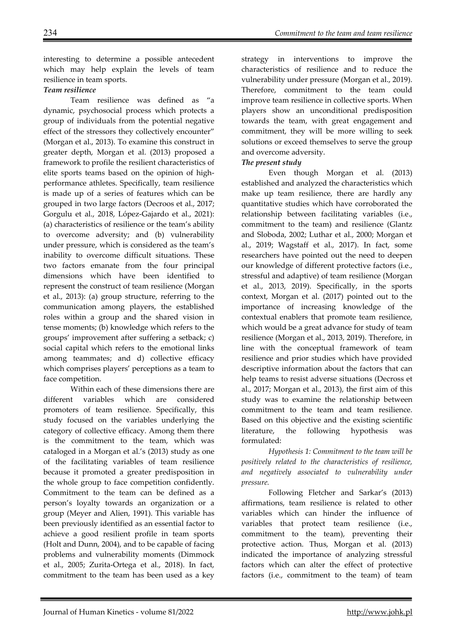interesting to determine a possible antecedent which may help explain the levels of team resilience in team sports.

## *Team resilience*

Team resilience was defined as "a dynamic, psychosocial process which protects a group of individuals from the potential negative effect of the stressors they collectively encounter" (Morgan et al., 2013). To examine this construct in greater depth, Morgan et al. (2013) proposed a framework to profile the resilient characteristics of elite sports teams based on the opinion of highperformance athletes. Specifically, team resilience is made up of a series of features which can be grouped in two large factors (Decroos et al., 2017; Gorgulu et al., 2018, López-Gajardo et al., 2021): (a) characteristics of resilience or the team's ability to overcome adversity; and (b) vulnerability under pressure, which is considered as the team's inability to overcome difficult situations. These two factors emanate from the four principal dimensions which have been identified to represent the construct of team resilience (Morgan et al., 2013): (a) group structure, referring to the communication among players, the established roles within a group and the shared vision in tense moments; (b) knowledge which refers to the groups' improvement after suffering a setback; c) social capital which refers to the emotional links among teammates; and d) collective efficacy which comprises players' perceptions as a team to face competition.

Within each of these dimensions there are different variables which are considered promoters of team resilience. Specifically, this study focused on the variables underlying the category of collective efficacy. Among them there is the commitment to the team, which was cataloged in a Morgan et al.'s (2013) study as one of the facilitating variables of team resilience because it promoted a greater predisposition in the whole group to face competition confidently. Commitment to the team can be defined as a person's loyalty towards an organization or a group (Meyer and Alien, 1991). This variable has been previously identified as an essential factor to achieve a good resilient profile in team sports (Holt and Dunn, 2004), and to be capable of facing problems and vulnerability moments (Dimmock et al., 2005; Zurita-Ortega et al., 2018). In fact, commitment to the team has been used as a key strategy in interventions to improve the characteristics of resilience and to reduce the vulnerability under pressure (Morgan et al., 2019). Therefore, commitment to the team could improve team resilience in collective sports. When players show an unconditional predisposition towards the team, with great engagement and commitment, they will be more willing to seek solutions or exceed themselves to serve the group and overcome adversity.

#### *The present study*

Even though Morgan et al. (2013) established and analyzed the characteristics which make up team resilience, there are hardly any quantitative studies which have corroborated the relationship between facilitating variables (i.e., commitment to the team) and resilience (Glantz and Sloboda, 2002; Luthar et al., 2000; Morgan et al., 2019; Wagstaff et al., 2017). In fact, some researchers have pointed out the need to deepen our knowledge of different protective factors (i.e., stressful and adaptive) of team resilience (Morgan et al., 2013, 2019). Specifically, in the sports context, Morgan et al. (2017) pointed out to the importance of increasing knowledge of the contextual enablers that promote team resilience, which would be a great advance for study of team resilience (Morgan et al., 2013, 2019). Therefore, in line with the conceptual framework of team resilience and prior studies which have provided descriptive information about the factors that can help teams to resist adverse situations (Decross et al., 2017; Morgan et al., 2013), the first aim of this study was to examine the relationship between commitment to the team and team resilience. Based on this objective and the existing scientific literature, the following hypothesis was formulated:

*Hypothesis 1: Commitment to the team will be positively related to the characteristics of resilience, and negatively associated to vulnerability under pressure.* 

Following Fletcher and Sarkar's (2013) affirmations, team resilience is related to other variables which can hinder the influence of variables that protect team resilience (i.e., commitment to the team), preventing their protective action. Thus, Morgan et al. (2013) indicated the importance of analyzing stressful factors which can alter the effect of protective factors (i.e., commitment to the team) of team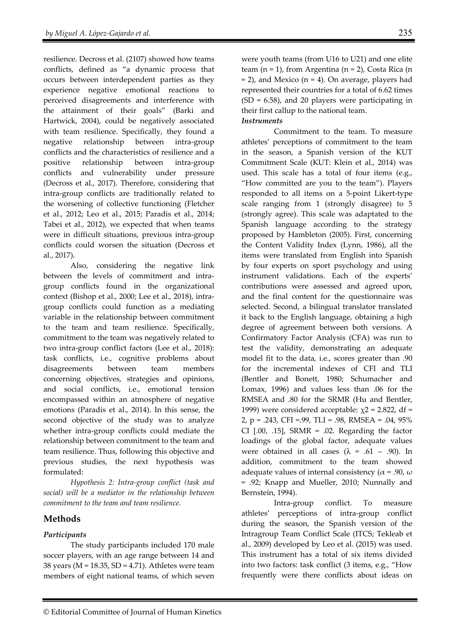resilience. Decross et al. (2107) showed how teams conflicts, defined as "a dynamic process that occurs between interdependent parties as they experience negative emotional reactions to perceived disagreements and interference with the attainment of their goals" (Barki and Hartwick, 2004), could be negatively associated with team resilience. Specifically, they found a negative relationship between intra-group conflicts and the characteristics of resilience and a positive relationship between intra-group conflicts and vulnerability under pressure (Decross et al., 2017). Therefore, considering that intra-group conflicts are traditionally related to the worsening of collective functioning (Fletcher et al., 2012; Leo et al., 2015; Paradis et al., 2014; Tabei et al., 2012), we expected that when teams were in difficult situations, previous intra-group conflicts could worsen the situation (Decross et al., 2017).

Also, considering the negative link between the levels of commitment and intragroup conflicts found in the organizational context (Bishop et al., 2000; Lee et al., 2018), intragroup conflicts could function as a mediating variable in the relationship between commitment to the team and team resilience. Specifically, commitment to the team was negatively related to two intra-group conflict factors (Lee et al., 2018): task conflicts, i.e., cognitive problems about disagreements between team members concerning objectives, strategies and opinions, and social conflicts, i.e., emotional tension encompassed within an atmosphere of negative emotions (Paradis et al., 2014). In this sense, the second objective of the study was to analyze whether intra-group conflicts could mediate the relationship between commitment to the team and team resilience. Thus, following this objective and previous studies, the next hypothesis was formulated:

*Hypothesis 2: Intra-group conflict (task and social) will be a mediator in the relationship between commitment to the team and team resilience.* 

# **Methods**

## *Participants*

 The study participants included 170 male soccer players, with an age range between 14 and 38 years (M = 18.35, SD = 4.71). Athletes were team members of eight national teams, of which seven were youth teams (from U16 to U21) and one elite team (n = 1), from Argentina (n = 2), Costa Rica (n  $= 2$ ), and Mexico (n  $= 4$ ). On average, players had represented their countries for a total of 6.62 times  $(SD = 6.58)$ , and 20 players were participating in their first callup to the national team.

#### *Instruments*

Commitment to the team. To measure athletes' perceptions of commitment to the team in the season, a Spanish version of the KUT Commitment Scale (KUT: Klein et al., 2014) was used. This scale has a total of four items (e.g., "How committed are you to the team"). Players responded to all items on a 5-point Likert-type scale ranging from 1 (strongly disagree) to 5 (strongly agree). This scale was adaptated to the Spanish language according to the strategy proposed by Hambleton (2005). First, concerning the Content Validity Index (Lynn, 1986), all the items were translated from English into Spanish by four experts on sport psychology and using instrument validations. Each of the experts' contributions were assessed and agreed upon, and the final content for the questionnaire was selected. Second, a bilingual translator translated it back to the English language, obtaining a high degree of agreement between both versions. A Confirmatory Factor Analysis (CFA) was run to test the validity, demonstrating an adequate model fit to the data, i.e., scores greater than .90 for the incremental indexes of CFI and TLI (Bentler and Bonett, 1980; Schumacher and Lomax, 1996) and values less than .06 for the RMSEA and .80 for the SRMR (Hu and Bentler, 1999) were considered acceptable:  $\chi$ 2 = 2.822, df = 2, p = .243, CFI =.99, TLI = .98, RMSEA = .04, 95% CI  $[.00, .15]$ , SRMR = .02. Regarding the factor loadings of the global factor, adequate values were obtained in all cases ( $\lambda$  = .61 – .90). In addition, commitment to the team showed adequate values of internal consistency ( $\alpha$  = .90,  $\omega$ ) = .92; Knapp and Mueller, 2010; Nunnally and Bernstein, 1994).

Intra-group conflict. To measure athletes' perceptions of intra-group conflict during the season, the Spanish version of the Intragroup Team Conflict Scale (ITCS; Tekleab et al., 2009) developed by Leo et al. (2015) was used. This instrument has a total of six items divided into two factors: task conflict (3 items, e.g., "How frequently were there conflicts about ideas on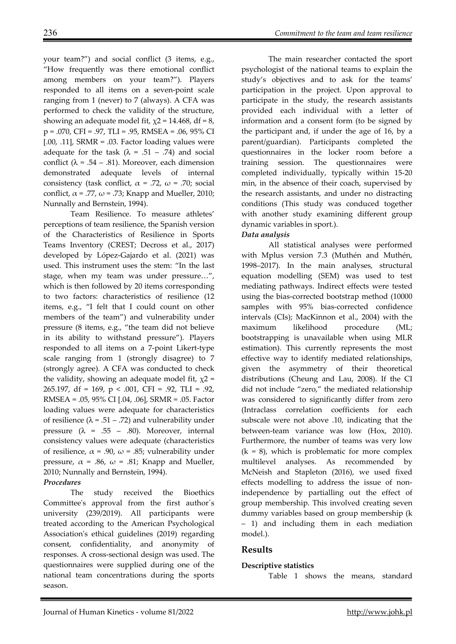your team?") and social conflict (3 items, e.g., "How frequently was there emotional conflict among members on your team?"). Players responded to all items on a seven-point scale ranging from 1 (never) to 7 (always). A CFA was performed to check the validity of the structure, showing an adequate model fit,  $\chi$ 2 = 14.468, df = 8, p = .070, CFI = .97, TLI = .95, RMSEA = .06, 95% CI  $[.00, .11]$ , SRMR = .03. Factor loading values were adequate for the task ( $\lambda$  = .51 – .74) and social conflict ( $\lambda = .54 - .81$ ). Moreover, each dimension demonstrated adequate levels of internal consistency (task conflict,  $\alpha$  = .72,  $\omega$  = .70; social conflict,  $\alpha$  = .77,  $\omega$  = .73; Knapp and Mueller, 2010; Nunnally and Bernstein, 1994).

Team Resilience. To measure athletes' perceptions of team resilience, the Spanish version of the Characteristics of Resilience in Sports Teams Inventory (CREST; Decross et al., 2017) developed by López-Gajardo et al. (2021) was used. This instrument uses the stem: "In the last stage, when my team was under pressure…", which is then followed by 20 items corresponding to two factors: characteristics of resilience (12 items, e.g., "I felt that I could count on other members of the team") and vulnerability under pressure (8 items, e.g., "the team did not believe in its ability to withstand pressure"). Players responded to all items on a 7-point Likert-type scale ranging from 1 (strongly disagree) to 7 (strongly agree). A CFA was conducted to check the validity, showing an adequate model fit,  $\chi$ 2 = 265.197, df = 169,  $p < .001$ , CFI = .92, TLI = .92, RMSEA = .05, 95% CI [.04, .06], SRMR = .05. Factor loading values were adequate for characteristics of resilience  $(\lambda = .51 - .72)$  and vulnerability under pressure  $(\lambda = .55 - .80)$ . Moreover, internal consistency values were adequate (characteristics of resilience,  $\alpha$  = .90,  $\omega$  = .85; vulnerability under pressure,  $\alpha$  = .86,  $\omega$  = .81; Knapp and Mueller, 2010; Nunnally and Bernstein, 1994).

## *Procedures*

 The study received the Bioethics Committee's approval from the first author´s university (239/2019). All participants were treated according to the American Psychological Association's ethical guidelines (2019) regarding consent, confidentiality, and anonymity of responses. A cross-sectional design was used. The questionnaires were supplied during one of the national team concentrations during the sports season.

The main researcher contacted the sport psychologist of the national teams to explain the study's objectives and to ask for the teams' participation in the project. Upon approval to participate in the study, the research assistants provided each individual with a letter of information and a consent form (to be signed by the participant and, if under the age of 16, by a parent/guardian). Participants completed the questionnaires in the locker room before a training session. The questionnaires were completed individually, typically within 15-20 min, in the absence of their coach, supervised by the research assistants, and under no distracting conditions (This study was conduced together with another study examining different group dynamic variables in sport.).

# *Data analysis*

All statistical analyses were performed with Mplus version 7.3 (Muthén and Muthén, 1998–2017). In the main analyses, structural equation modelling (SEM) was used to test mediating pathways. Indirect effects were tested using the bias-corrected bootstrap method (10000 samples with 95% bias-corrected confidence intervals (CIs); MacKinnon et al., 2004) with the maximum likelihood procedure (ML; bootstrapping is unavailable when using MLR estimation). This currently represents the most effective way to identify mediated relationships, given the asymmetry of their theoretical distributions (Cheung and Lau, 2008). If the CI did not include "zero," the mediated relationship was considered to significantly differ from zero (Intraclass correlation coefficients for each subscale were not above .10, indicating that the between-team variance was low (Hox, 2010). Furthermore, the number of teams was very low  $(k = 8)$ , which is problematic for more complex multilevel analyses. As recommended by McNeish and Stapleton (2016), we used fixed effects modelling to address the issue of nonindependence by partialling out the effect of group membership. This involved creating seven dummy variables based on group membership (k – 1) and including them in each mediation model.).

## **Results**

## **Descriptive statistics**

Table 1 shows the means, standard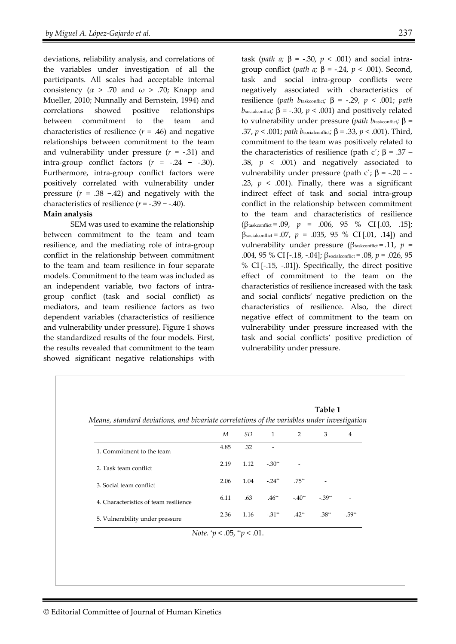deviations, reliability analysis, and correlations of the variables under investigation of all the participants. All scales had acceptable internal consistency ( $\alpha$  > .70 and  $\omega$  > .70; Knapp and Mueller, 2010; Nunnally and Bernstein, 1994) and correlations showed positive relationships between commitment to the team and characteristics of resilience  $(r = .46)$  and negative relationships between commitment to the team and vulnerability under pressure (*r* = -.31) and intra-group conflict factors  $(r = -.24 - .30)$ . Furthermore, intra-group conflict factors were positively correlated with vulnerability under pressure (*r* = .38 −.42) and negatively with the characteristics of resilience  $(r = -.39 - .40)$ .

#### **Main analysis**

SEM was used to examine the relationship between commitment to the team and team resilience, and the mediating role of intra-group conflict in the relationship between commitment to the team and team resilience in four separate models. Commitment to the team was included as an independent variable, two factors of intragroup conflict (task and social conflict) as mediators, and team resilience factors as two dependent variables (characteristics of resilience and vulnerability under pressure). Figure 1 shows the standardized results of the four models. First, the results revealed that commitment to the team showed significant negative relationships with

task (*path a*; β = -.30,  $p$  < .001) and social intragroup conflict (*path a;* β = -.24, *p* < .001). Second, task and social intra-group conflicts were negatively associated with characteristics of resilience (*path b*taskconflict;  $β = -.29, p < .001$ ; *path b*socialconflict*;*  $β = -.30, p < .001$  and positively related to vulnerability under pressure (*path b*taskconflict*;* β = .37, *p* < .001; *path b*socialconflict*;* β = .33, *p* < .001). Third, commitment to the team was positively related to the characteristics of resilience (path c'; β = .37 – .38,  $p \leq .001$ ) and negatively associated to vulnerability under pressure (path c'; β = -.20 – -.23,  $p < .001$ ). Finally, there was a significant indirect effect of task and social intra-group conflict in the relationship between commitment to the team and characteristics of resilience (βtaskconflict = .09, *p* = .006, 95 % CI [.03, .15];  $β_{\text{socialconflict}} = .07$ ,  $p = .035$ ,  $95$  % CI[.01, .14]) and vulnerability under pressure (βtaskconflict = .11, *p* = .004, 95 % CI [-.18, -.04]; βsocialconflict = .08, *p* = .026, 95 % CI [-.15, -.01]). Specifically, the direct positive effect of commitment to the team on the characteristics of resilience increased with the task and social conflicts' negative prediction on the characteristics of resilience. Also, the direct negative effect of commitment to the team on vulnerability under pressure increased with the task and social conflicts' positive prediction of vulnerability under pressure.

|                                       |      | Table 1                                                                                     |              |          |          |                |  |
|---------------------------------------|------|---------------------------------------------------------------------------------------------|--------------|----------|----------|----------------|--|
|                                       |      | Means, standard deviations, and bivariate correlations of the variables under investigation |              |          |          |                |  |
|                                       | M    | SD.                                                                                         | $\mathbf{1}$ | 2        | 3        | $\overline{4}$ |  |
| 1. Commitment to the team             | 4.85 | .32                                                                                         |              |          |          |                |  |
| 2. Task team conflict                 | 2.19 | 1.12                                                                                        | $-.30**$     |          |          |                |  |
| 3. Social team conflict               | 2.06 | 1.04                                                                                        | $-.24**$     | $.75**$  |          |                |  |
| 4. Characteristics of team resilience | 6.11 | .63                                                                                         | $.46^{**}$   | $-.40**$ | $-.39**$ |                |  |
| 5. Vulnerability under pressure       | 2.36 | 1.16                                                                                        | $-.31$ **    | $.42**$  | $.38**$  | $-0.59**$      |  |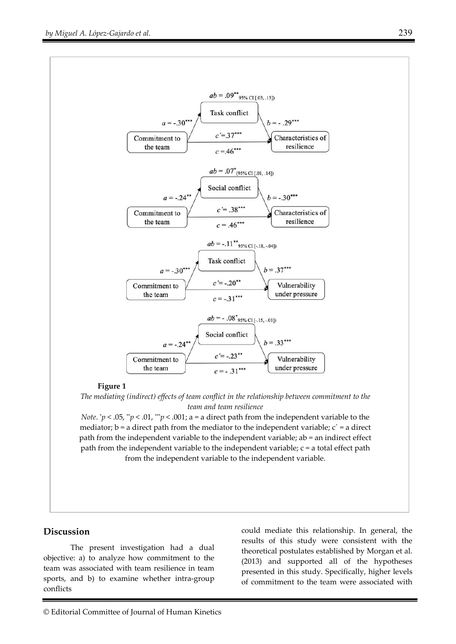

#### **Figure 1**

*The mediating (indirect) effects of team conflict in the relationship between commitment to the team and team resilience* 

*Note. \*p* < .05, *\*p* < .01, *\*\*p* < .001; a = a direct path from the independent variable to the mediator;  $b = a$  direct path from the mediator to the independent variable;  $c' = a$  direct path from the independent variable to the independent variable; ab = an indirect effect path from the independent variable to the independent variable;  $c = a$  total effect path from the independent variable to the independent variable.

#### **Discussion**

The present investigation had a dual objective: a) to analyze how commitment to the team was associated with team resilience in team sports, and b) to examine whether intra-group conflicts

could mediate this relationship. In general, the results of this study were consistent with the theoretical postulates established by Morgan et al. (2013) and supported all of the hypotheses presented in this study. Specifically, higher levels of commitment to the team were associated with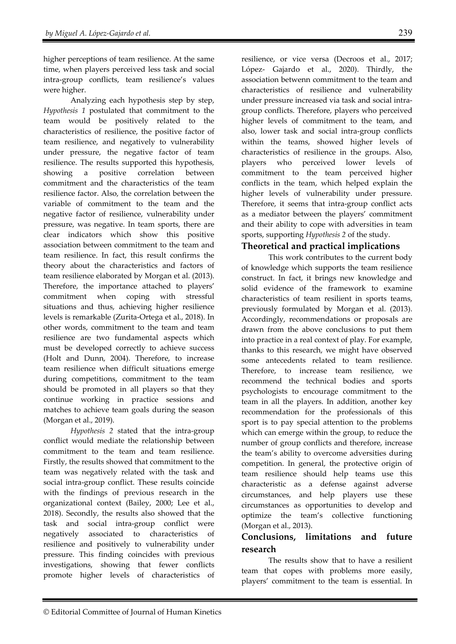higher perceptions of team resilience. At the same time, when players perceived less task and social intra-group conflicts, team resilience's values were higher.

Analyzing each hypothesis step by step, *Hypothesis 1* postulated that commitment to the team would be positively related to the characteristics of resilience, the positive factor of team resilience, and negatively to vulnerability under pressure, the negative factor of team resilience. The results supported this hypothesis*,*  showing a positive correlation between commitment and the characteristics of the team resilience factor. Also, the correlation between the variable of commitment to the team and the negative factor of resilience, vulnerability under pressure, was negative. In team sports, there are clear indicators which show this positive association between commitment to the team and team resilience. In fact, this result confirms the theory about the characteristics and factors of team resilience elaborated by Morgan et al. (2013). Therefore, the importance attached to players' commitment when coping with stressful situations and thus, achieving higher resilience levels is remarkable (Zurita-Ortega et al., 2018). In other words, commitment to the team and team resilience are two fundamental aspects which must be developed correctly to achieve success (Holt and Dunn, 2004). Therefore, to increase team resilience when difficult situations emerge during competitions, commitment to the team should be promoted in all players so that they continue working in practice sessions and matches to achieve team goals during the season (Morgan et al., 2019).

*Hypothesis 2* stated that the intra-group conflict would mediate the relationship between commitment to the team and team resilience. Firstly, the results showed that commitment to the team was negatively related with the task and social intra-group conflict. These results coincide with the findings of previous research in the organizational context (Bailey, 2000; Lee et al., 2018). Secondly, the results also showed that the task and social intra-group conflict were negatively associated to characteristics of resilience and positively to vulnerability under pressure. This finding coincides with previous investigations, showing that fewer conflicts promote higher levels of characteristics of resilience, or vice versa (Decroos et al., 2017; López- Gajardo et al., 2020). Thirdly, the association betwenn commitment to the team and characteristics of resilience and vulnerability under pressure increased via task and social intragroup conflicts. Therefore, players who perceived higher levels of commitment to the team, and also, lower task and social intra-group conflicts within the teams, showed higher levels of characteristics of resilience in the groups. Also, players who perceived lower levels of commitment to the team perceived higher conflicts in the team, which helped explain the higher levels of vulnerability under pressure. Therefore, it seems that intra-group conflict acts as a mediator between the players' commitment and their ability to cope with adversities in team sports, supporting *Hypothesis 2* of the study.

# **Theoretical and practical implications**

 This work contributes to the current body of knowledge which supports the team resilience construct. In fact, it brings new knowledge and solid evidence of the framework to examine characteristics of team resilient in sports teams, previously formulated by Morgan et al. (2013). Accordingly, recommendations or proposals are drawn from the above conclusions to put them into practice in a real context of play. For example, thanks to this research, we might have observed some antecedents related to team resilience. Therefore, to increase team resilience, we recommend the technical bodies and sports psychologists to encourage commitment to the team in all the players. In addition, another key recommendation for the professionals of this sport is to pay special attention to the problems which can emerge within the group, to reduce the number of group conflicts and therefore, increase the team's ability to overcome adversities during competition. In general, the protective origin of team resilience should help teams use this characteristic as a defense against adverse circumstances, and help players use these circumstances as opportunities to develop and optimize the team's collective functioning (Morgan et al., 2013).

# **Conclusions, limitations and future research**

The results show that to have a resilient team that copes with problems more easily, players' commitment to the team is essential. In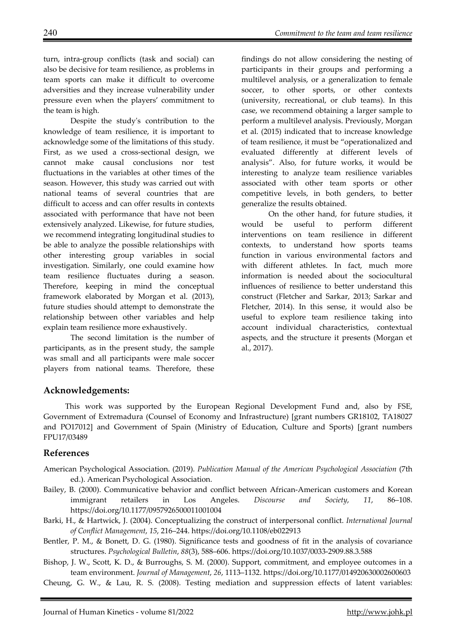turn, intra-group conflicts (task and social) can also be decisive for team resilience, as problems in team sports can make it difficult to overcome adversities and they increase vulnerability under pressure even when the players' commitment to the team is high.

Despite the study's contribution to the knowledge of team resilience, it is important to acknowledge some of the limitations of this study. First, as we used a cross-sectional design, we cannot make causal conclusions nor test fluctuations in the variables at other times of the season. However, this study was carried out with national teams of several countries that are difficult to access and can offer results in contexts associated with performance that have not been extensively analyzed. Likewise, for future studies, we recommend integrating longitudinal studies to be able to analyze the possible relationships with other interesting group variables in social investigation. Similarly, one could examine how team resilience fluctuates during a season. Therefore, keeping in mind the conceptual framework elaborated by Morgan et al. (2013), future studies should attempt to demonstrate the relationship between other variables and help explain team resilience more exhaustively.

The second limitation is the number of participants, as in the present study, the sample was small and all participants were male soccer players from national teams. Therefore, these

findings do not allow considering the nesting of participants in their groups and performing a multilevel analysis, or a generalization to female soccer, to other sports, or other contexts (university, recreational, or club teams). In this case, we recommend obtaining a larger sample to perform a multilevel analysis. Previously, Morgan et al. (2015) indicated that to increase knowledge of team resilience, it must be "operationalized and evaluated differently at different levels of analysis". Also, for future works, it would be interesting to analyze team resilience variables associated with other team sports or other competitive levels, in both genders, to better generalize the results obtained.

On the other hand, for future studies, it would be useful to perform different interventions on team resilience in different contexts, to understand how sports teams function in various environmental factors and with different athletes. In fact, much more information is needed about the sociocultural influences of resilience to better understand this construct (Fletcher and Sarkar, 2013; Sarkar and Fletcher, 2014). In this sense, it would also be useful to explore team resilience taking into account individual characteristics, contextual aspects, and the structure it presents (Morgan et al., 2017).

## **Acknowledgements:**

This work was supported by the European Regional Development Fund and, also by FSE, Government of Extremadura (Counsel of Economy and Infrastructure) [grant numbers GR18102, TA18027 and PO17012] and Government of Spain (Ministry of Education, Culture and Sports) [grant numbers FPU17/03489

#### **References**

- American Psychological Association. (2019). *Publication Manual of the American Psychological Association* (7th ed.). American Psychological Association.
- Bailey, B. (2000). Communicative behavior and conflict between African-American customers and Korean immigrant retailers in Los Angeles. *Discourse and Society*, *11*, 86–108. https://doi.org/10.1177/0957926500011001004
- Barki, H., & Hartwick, J. (2004). Conceptualizing the construct of interpersonal conflict. *International Journal of Conflict Management*, *15*, 216–244. https://doi.org/10.1108/eb022913
- Bentler, P. M., & Bonett, D. G. (1980). Significance tests and goodness of fit in the analysis of covariance structures. *Psychological Bulletin*, *88*(3), 588–606. https://doi.org/10.1037/0033-2909.88.3.588

Bishop, J. W., Scott, K. D., & Burroughs, S. M. (2000). Support, commitment, and employee outcomes in a team environment. *Journal of Management*, *26*, 1113–1132. https://doi.org/10.1177/014920630002600603

Cheung, G. W., & Lau, R. S. (2008). Testing mediation and suppression effects of latent variables: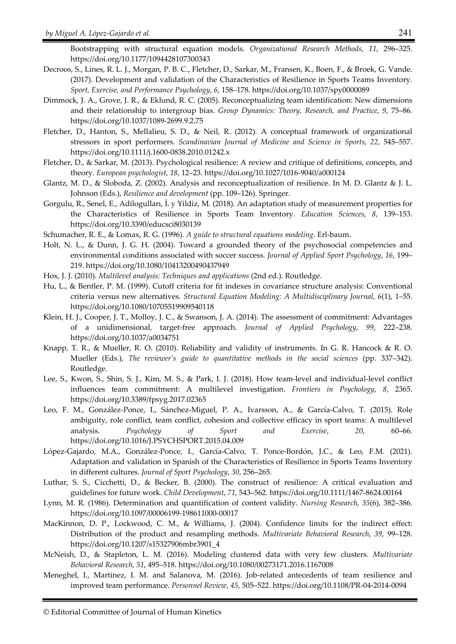Bootstrapping with structural equation models. *Organizational Research Methods*, *11*, 296–325. https://doi.org/10.1177/1094428107300343

- Decroos, S., Lines, R. L. J., Morgan, P. B. C., Fletcher, D., Sarkar, M., Fransen, K., Boen, F., & Broek, G. Vande. (2017). Development and validation of the Characteristics of Resilience in Sports Teams Inventory. *Sport, Exercise, and Performance Psychology*, *6*, 158–178. https://doi.org/10.1037/spy0000089
- Dimmock, J. A., Grove, J. R., & Eklund, R. C. (2005). Reconceptualizing team identification: New dimensions and their relationship to intergroup bias. *Group Dynamics: Theory, Research, and Practice*, *9*, 75–86. https://doi.org/10.1037/1089-2699.9.2.75
- Fletcher, D., Hanton, S., Mellalieu, S. D., & Neil, R. (2012). A conceptual framework of organizational stressors in sport performers. *Scandinavian Journal of Medicine and Science in Sports*, *22*, 545–557. https://doi.org/10.1111/j.1600-0838.2010.01242.x
- Fletcher, D., & Sarkar, M. (2013). Psychological resilience: A review and critique of definitions, concepts, and theory. *European psychologist*, *18*, 12–23. https://doi.org/10.1027/1016-9040/a000124
- Glantz, M. D., & Sloboda, Z. (2002). Analysis and reconceptualization of resilience. In M. D. Glantz & J. L. Johnson (Eds.), *Resilience and development* (pp. 109–126). Springer.
- Gorgulu, R., Senel, E., Adilogulları, İ. y Yildiz, M. (2018). An adaptation study of measurement properties for the Characteristics of Resilience in Sports Team Inventory. *Education Sciences*, *8*, 139–153. https://doi.org/10.3390/educsci8030139

Schumacher, R. E., & Lomax, R. G. (1996). *A guide to structural equations modeling*. Erl-baum.

- Holt, N. L., & Dunn, J. G. H. (2004). Toward a grounded theory of the psychosocial competencies and environmental conditions associated with soccer success. *Journal of Applied Sport Psychology*, *16*, 199– 219. https://doi.org/10.1080/10413200490437949
- Hox, J. J. (2010). *Multilevel analysis: Techniques and applications* (2nd ed.). Routledge.
- Hu, L., & Bentler, P. M. (1999). Cutoff criteria for fit indexes in covariance structure analysis: Conventional criteria versus new alternatives. *Structural Equation Modeling: A Multidisciplinary Journal*, *6*(1), 1–55. https://doi.org/10.1080/10705519909540118
- Klein, H. J., Cooper, J. T., Molloy, J. C., & Swanson, J. A. (2014). The assessment of commitment: Advantages of a unidimensional, target-free approach. *Journal of Applied Psychology*, *99*, 222–238. https://doi.org/10.1037/a0034751
- Knapp, T. R., & Mueller, R. O. (2010). Reliability and validity of instruments. In G. R. Hancock & R. O. Mueller (Eds.), *The reviewer's guide to quantitative methods in the social sciences* (pp. 337–342). Routledge.
- Lee, S., Kwon, S., Shin, S. J., Kim, M. S., & Park, I. J. (2018). How team-level and individual-level conflict influences team commitment: A multilevel investigation. *Frontiers in Psychology*, *8*, 2365. https://doi.org/10.3389/fpsyg.2017.02365
- Leo, F. M., González-Ponce, I., Sánchez-Miguel, P. A., Ivarsson, A., & García-Calvo, T. (2015). Role ambiguity, role conflict, team conflict, cohesion and collective efficacy in sport teams: A multilevel analysis. *Psychology of Sport and Exercise*, *20*, 60–66. https://doi.org/10.1016/J.PSYCHSPORT.2015.04.009
- López-Gajardo, M.A., González-Ponce, I., García-Calvo, T. Ponce-Bordón, J.C., & Leo, F.M. (2021). Adaptation and validation in Spanish of the Characteristics of Resilience in Sports Teams Inventory in different cultures. *Journal of Sport Psychology*, *30*, 256–265.
- Luthar, S. S., Cicchetti, D., & Becker, B. (2000). The construct of resilience: A critical evaluation and guidelines for future work. *Child Development*, *71*, 543–562. https://doi.org/10.1111/1467-8624.00164
- Lynn, M. R. (1986). Determination and quantification of content validity. *Nursing Research*, *35*(6), 382–386. https://doi.org/10.1097/00006199-198611000-00017
- MacKinnon, D. P., Lockwood, C. M., & Williams, J. (2004). Confidence limits for the indirect effect: Distribution of the product and resampling methods. *Multivariate Behavioral Research*, *39*, 99–128. https://doi.org/10.1207/s15327906mbr3901\_4
- McNeish, D., & Stapleton, L. M. (2016). Modeling clustered data with very few clusters. *Multivariate Behavioral Research*, *51*, 495–518. https://doi.org/10.1080/00273171.2016.1167008
- Meneghel, I., Martínez, I. M. and Salanova, M. (2016). Job-related antecedents of team resilience and improved team performance. *Personnel Review*, *45*, 505–522. https://doi.org/10.1108/PR-04-2014-0094